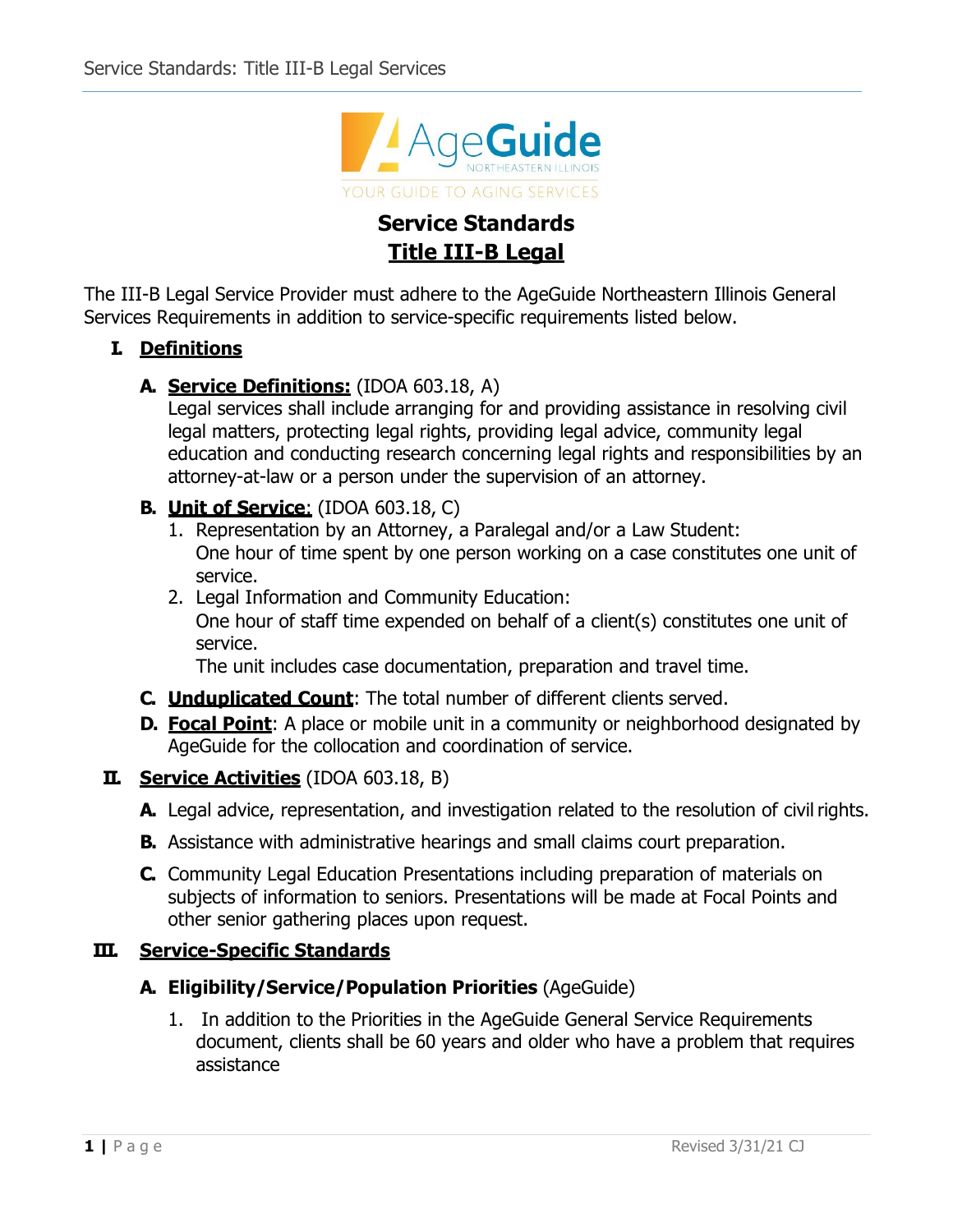

# **Service Standards Title III-B Legal**

The III-B Legal Service Provider must adhere to the AgeGuide Northeastern Illinois General Services Requirements in addition to service-specific requirements listed below.

#### **I. Definitions**

#### **A. Service Definitions:** (IDOA 603.18, A)

Legal services shall include arranging for and providing assistance in resolving civil legal matters, protecting legal rights, providing legal advice, community legal education and conducting research concerning legal rights and responsibilities by an attorney-at-law or a person under the supervision of an attorney.

## **B. Unit of Service**: (IDOA 603.18, C)

- 1. Representation by an Attorney, a Paralegal and/or a Law Student: One hour of time spent by one person working on a case constitutes one unit of service.
- 2. Legal Information and Community Education:

One hour of staff time expended on behalf of a client(s) constitutes one unit of service.

The unit includes case documentation, preparation and travel time.

- **C. Unduplicated Count**: The total number of different clients served.
- **D. Focal Point**: A place or mobile unit in a community or neighborhood designated by AgeGuide for the collocation and coordination of service.

## **II. Service Activities** (IDOA 603.18, B)

- A. Legal advice, representation, and investigation related to the resolution of civil rights.
- **B.** Assistance with administrative hearings and small claims court preparation.
- **C.** Community Legal Education Presentations including preparation of materials on subjects of information to seniors. Presentations will be made at Focal Points and other senior gathering places upon request.

#### **III. Service-Specific Standards**

## **A. Eligibility/Service/Population Priorities** (AgeGuide)

1. In addition to the Priorities in the AgeGuide General Service Requirements document, clients shall be 60 years and older who have a problem that requires assistance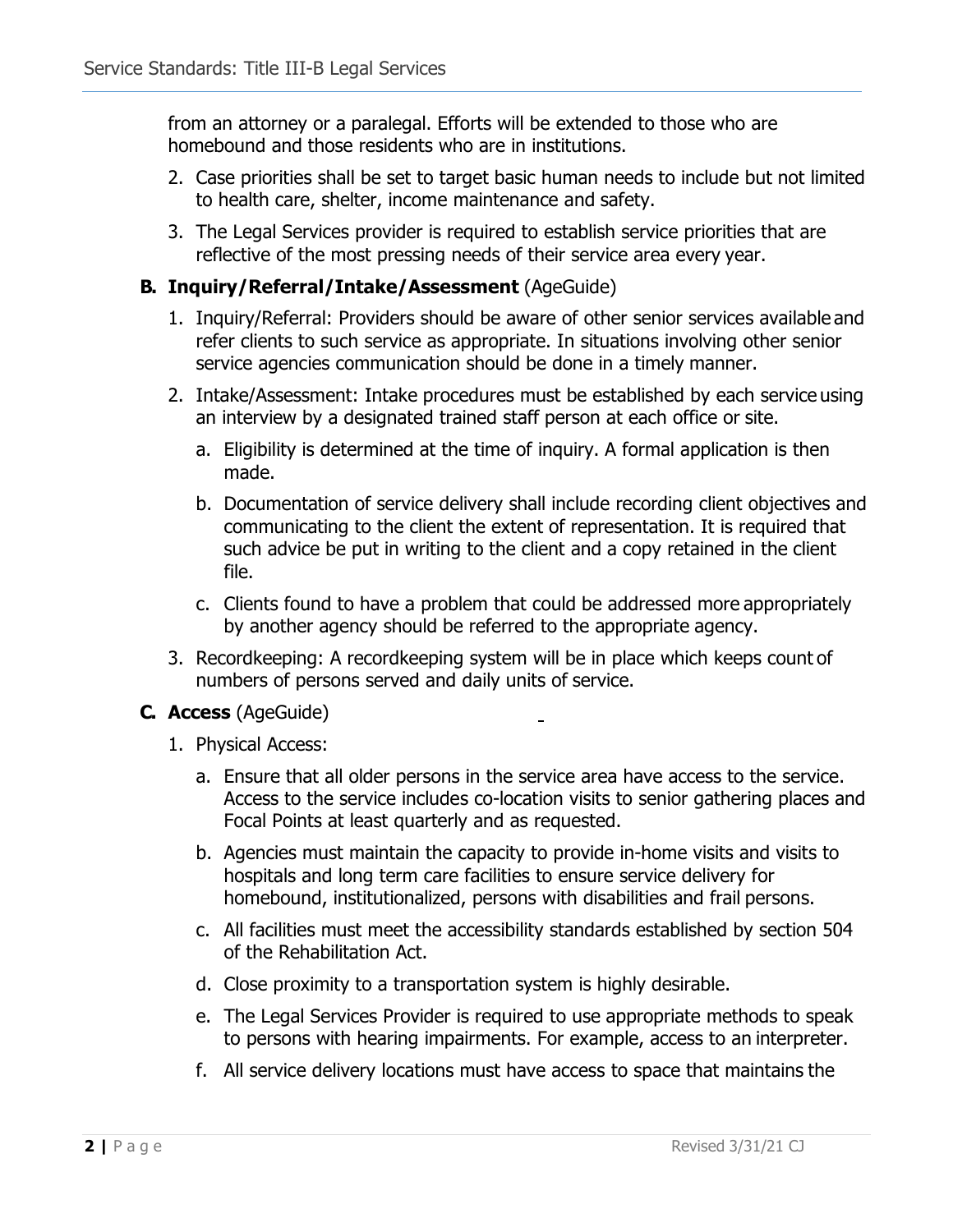from an attorney or a paralegal. Efforts will be extended to those who are homebound and those residents who are in institutions.

- 2. Case priorities shall be set to target basic human needs to include but not limited to health care, shelter, income maintenance and safety.
- 3. The Legal Services provider is required to establish service priorities that are reflective of the most pressing needs of their service area every year.

## **B. Inquiry/Referral/Intake/Assessment** (AgeGuide)

- 1. Inquiry/Referral: Providers should be aware of other senior services available and refer clients to such service as appropriate. In situations involving other senior service agencies communication should be done in a timely manner.
- 2. Intake/Assessment: Intake procedures must be established by each service using an interview by a designated trained staff person at each office or site.
	- a. Eligibility is determined at the time of inquiry. A formal application is then made.
	- b. Documentation of service delivery shall include recording client objectives and communicating to the client the extent of representation. It is required that such advice be put in writing to the client and a copy retained in the client file.
	- c. Clients found to have a problem that could be addressed more appropriately by another agency should be referred to the appropriate agency.
- 3. Recordkeeping: A recordkeeping system will be in place which keeps count of numbers of persons served and daily units of service.

## **C. Access** (AgeGuide)

- 1. Physical Access:
	- a. Ensure that all older persons in the service area have access to the service. Access to the service includes co-location visits to senior gathering places and Focal Points at least quarterly and as requested.
	- b. Agencies must maintain the capacity to provide in-home visits and visits to hospitals and long term care facilities to ensure service delivery for homebound, institutionalized, persons with disabilities and frail persons.
	- c. All facilities must meet the accessibility standards established by section 504 of the Rehabilitation Act.
	- d. Close proximity to a transportation system is highly desirable.
	- e. The Legal Services Provider is required to use appropriate methods to speak to persons with hearing impairments. For example, access to an interpreter.
	- f. All service delivery locations must have access to space that maintains the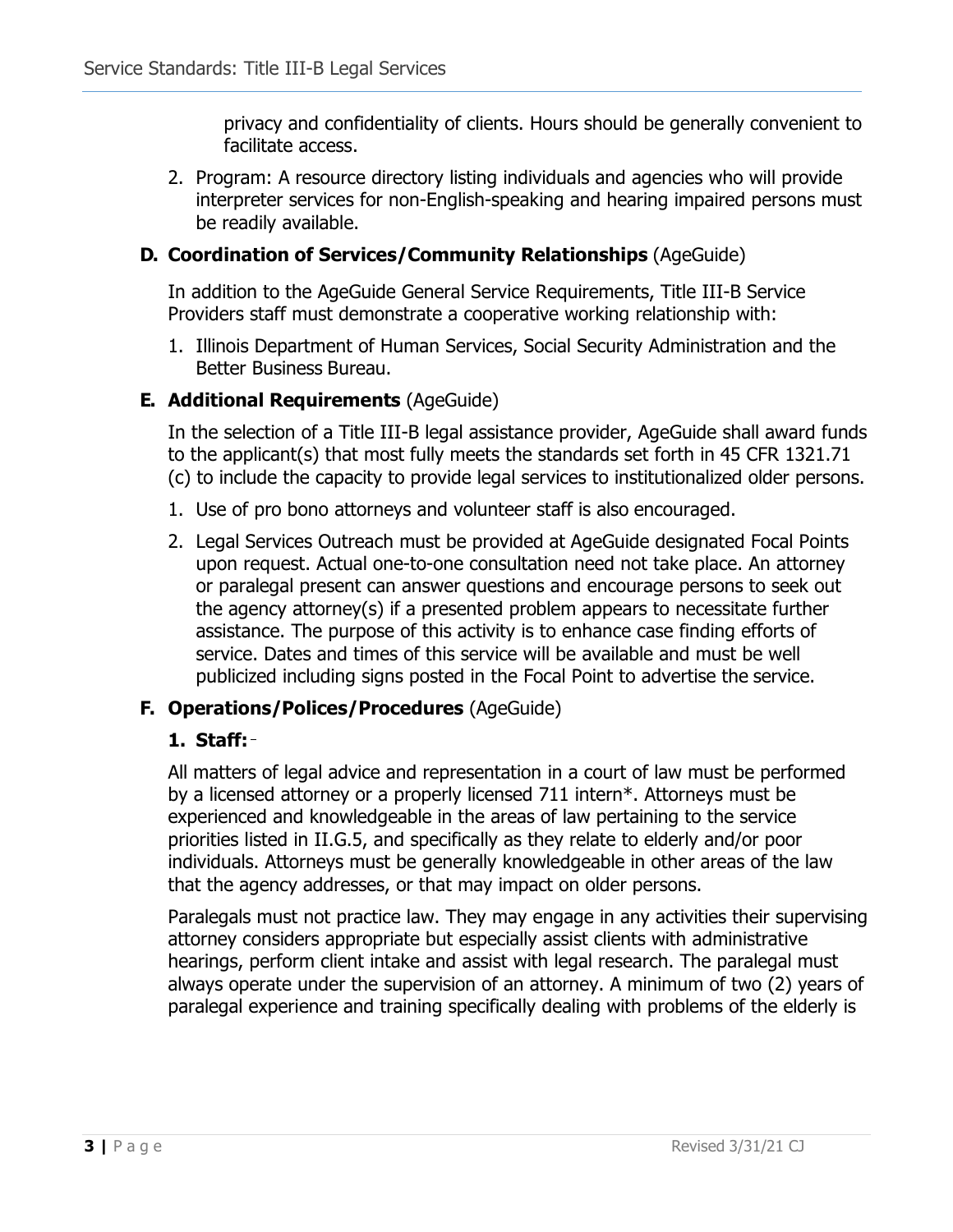privacy and confidentiality of clients. Hours should be generally convenient to facilitate access.

2. Program: A resource directory listing individuals and agencies who will provide interpreter services for non-English-speaking and hearing impaired persons must be readily available.

#### **D. Coordination of Services/Community Relationships** (AgeGuide)

In addition to the AgeGuide General Service Requirements, Title III-B Service Providers staff must demonstrate a cooperative working relationship with:

1. Illinois Department of Human Services, Social Security Administration and the Better Business Bureau.

#### **E. Additional Requirements** (AgeGuide)

In the selection of a Title III-B legal assistance provider, AgeGuide shall award funds to the applicant(s) that most fully meets the standards set forth in 45 CFR 1321.71 (c) to include the capacity to provide legal services to institutionalized older persons.

- 1. Use of pro bono attorneys and volunteer staff is also encouraged.
- 2. Legal Services Outreach must be provided at AgeGuide designated Focal Points upon request. Actual one-to-one consultation need not take place. An attorney or paralegal present can answer questions and encourage persons to seek out the agency attorney(s) if a presented problem appears to necessitate further assistance. The purpose of this activity is to enhance case finding efforts of service. Dates and times of this service will be available and must be well publicized including signs posted in the Focal Point to advertise the service.

## **F. Operations/Polices/Procedures** (AgeGuide)

#### **1. Staff:**

All matters of legal advice and representation in a court of law must be performed by a licensed attorney or a properly licensed 711 intern\*. Attorneys must be experienced and knowledgeable in the areas of law pertaining to the service priorities listed in II.G.5, and specifically as they relate to elderly and/or poor individuals. Attorneys must be generally knowledgeable in other areas of the law that the agency addresses, or that may impact on older persons.

Paralegals must not practice law. They may engage in any activities their supervising attorney considers appropriate but especially assist clients with administrative hearings, perform client intake and assist with legal research. The paralegal must always operate under the supervision of an attorney. A minimum of two (2) years of paralegal experience and training specifically dealing with problems of the elderly is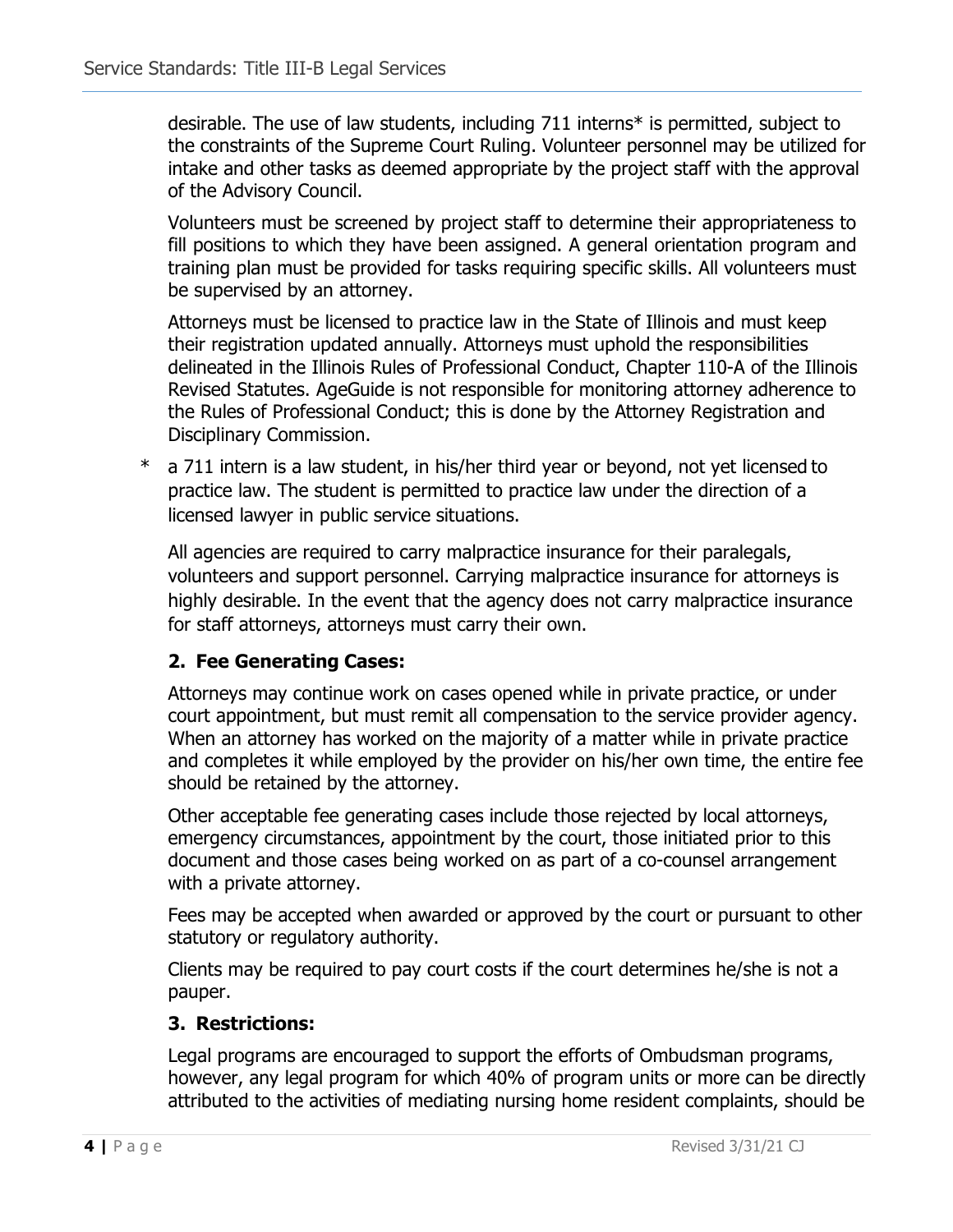desirable. The use of law students, including 711 interns\* is permitted, subject to the constraints of the Supreme Court Ruling. Volunteer personnel may be utilized for intake and other tasks as deemed appropriate by the project staff with the approval of the Advisory Council.

Volunteers must be screened by project staff to determine their appropriateness to fill positions to which they have been assigned. A general orientation program and training plan must be provided for tasks requiring specific skills. All volunteers must be supervised by an attorney.

Attorneys must be licensed to practice law in the State of Illinois and must keep their registration updated annually. Attorneys must uphold the responsibilities delineated in the Illinois Rules of Professional Conduct, Chapter 110-A of the Illinois Revised Statutes. AgeGuide is not responsible for monitoring attorney adherence to the Rules of Professional Conduct; this is done by the Attorney Registration and Disciplinary Commission.

\* a 711 intern is a law student, in his/her third year or beyond, not yet licensed to practice law. The student is permitted to practice law under the direction of a licensed lawyer in public service situations.

All agencies are required to carry malpractice insurance for their paralegals, volunteers and support personnel. Carrying malpractice insurance for attorneys is highly desirable. In the event that the agency does not carry malpractice insurance for staff attorneys, attorneys must carry their own.

## **2. Fee Generating Cases:**

Attorneys may continue work on cases opened while in private practice, or under court appointment, but must remit all compensation to the service provider agency. When an attorney has worked on the majority of a matter while in private practice and completes it while employed by the provider on his/her own time, the entire fee should be retained by the attorney.

Other acceptable fee generating cases include those rejected by local attorneys, emergency circumstances, appointment by the court, those initiated prior to this document and those cases being worked on as part of a co-counsel arrangement with a private attorney.

Fees may be accepted when awarded or approved by the court or pursuant to other statutory or regulatory authority.

Clients may be required to pay court costs if the court determines he/she is not a pauper.

## **3. Restrictions:**

Legal programs are encouraged to support the efforts of Ombudsman programs, however, any legal program for which 40% of program units or more can be directly attributed to the activities of mediating nursing home resident complaints, should be